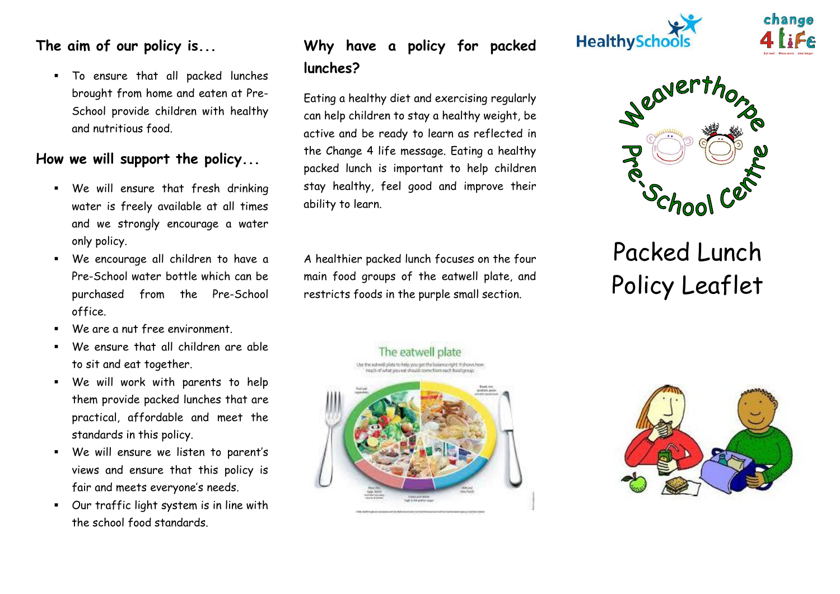### **The aim of our policy is...**

 To ensure that all packed lunches brought from home and eaten at Pre-School provide children with healthy and nutritious food.

#### **How we will support the policy...**

- We will ensure that fresh drinking water is freely available at all times and we strongly encourage a water only policy.
- We encourage all children to have a Pre-School water bottle which can be purchased from the Pre-School office.
- We are a nut free environment.
- We ensure that all children are able to sit and eat together.
- We will work with parents to help them provide packed lunches that are practical, affordable and meet the standards in this policy.
- We will ensure we listen to parent's views and ensure that this policy is fair and meets everyone's needs.
- Our traffic light system is in line with the school food standards.

### **Why have a policy for packed lunches?**

Eating a healthy diet and exercising regularly can help children to stay a healthy weight, be active and be ready to learn as reflected in the Change 4 life message. Eating a healthy packed lunch is important to help children stay healthy, feel good and improve their ability to learn.

A healthier packed lunch focuses on the four main food groups of the eatwell plate, and restricts foods in the purple small section.





change

# Packed Lunch Policy Leaflet

The eatwell plate The the extivel plate to help you get the balance right. It shows how